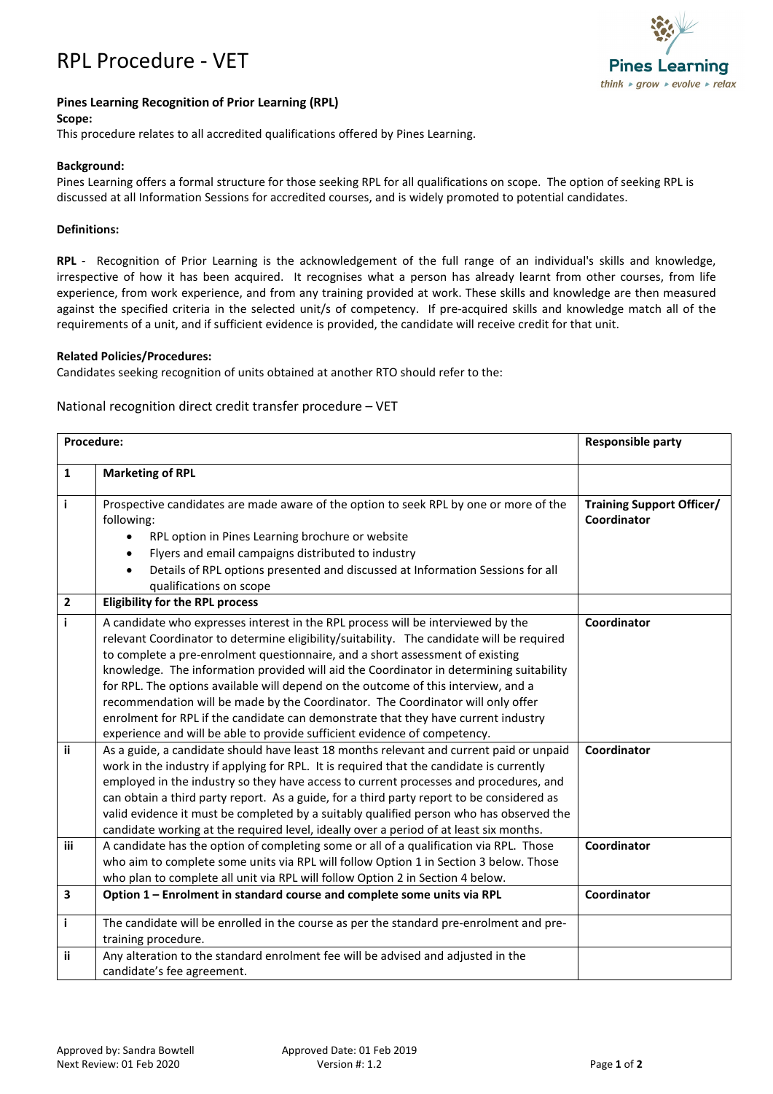



## **Pines Learning Recognition of Prior Learning (RPL)**

#### **Scope:**

This procedure relates to all accredited qualifications offered by Pines Learning.

## **Background:**

Pines Learning offers a formal structure for those seeking RPL for all qualifications on scope. The option of seeking RPL is discussed at all Information Sessions for accredited courses, and is widely promoted to potential candidates.

### **Definitions:**

**RPL** - Recognition of Prior Learning is the acknowledgement of the full range of an individual's skills and knowledge, irrespective of how it has been acquired. It recognises what a person has already learnt from other courses, from life experience, from work experience, and from any training provided at work. These skills and knowledge are then measured against the specified criteria in the selected unit/s of competency. If pre-acquired skills and knowledge match all of the requirements of a unit, and if sufficient evidence is provided, the candidate will receive credit for that unit.

### **Related Policies/Procedures:**

Candidates seeking recognition of units obtained at another RTO should refer to the:

# National recognition direct credit transfer procedure – VET

| Procedure:   |                                                                                                                                                                                                                                                                                                                                                                                                                                                                                                                                                                                                                                                                                                                                                                                                                                                                                              | <b>Responsible party</b>                        |
|--------------|----------------------------------------------------------------------------------------------------------------------------------------------------------------------------------------------------------------------------------------------------------------------------------------------------------------------------------------------------------------------------------------------------------------------------------------------------------------------------------------------------------------------------------------------------------------------------------------------------------------------------------------------------------------------------------------------------------------------------------------------------------------------------------------------------------------------------------------------------------------------------------------------|-------------------------------------------------|
| 1            | <b>Marketing of RPL</b>                                                                                                                                                                                                                                                                                                                                                                                                                                                                                                                                                                                                                                                                                                                                                                                                                                                                      |                                                 |
| j.           | Prospective candidates are made aware of the option to seek RPL by one or more of the<br>following:<br>RPL option in Pines Learning brochure or website<br>Flyers and email campaigns distributed to industry<br>$\bullet$<br>Details of RPL options presented and discussed at Information Sessions for all<br>qualifications on scope                                                                                                                                                                                                                                                                                                                                                                                                                                                                                                                                                      | <b>Training Support Officer/</b><br>Coordinator |
| $\mathbf{2}$ | <b>Eligibility for the RPL process</b>                                                                                                                                                                                                                                                                                                                                                                                                                                                                                                                                                                                                                                                                                                                                                                                                                                                       |                                                 |
| j.<br>ii     | A candidate who expresses interest in the RPL process will be interviewed by the<br>relevant Coordinator to determine eligibility/suitability. The candidate will be required<br>to complete a pre-enrolment questionnaire, and a short assessment of existing<br>knowledge. The information provided will aid the Coordinator in determining suitability<br>for RPL. The options available will depend on the outcome of this interview, and a<br>recommendation will be made by the Coordinator. The Coordinator will only offer<br>enrolment for RPL if the candidate can demonstrate that they have current industry<br>experience and will be able to provide sufficient evidence of competency.<br>As a guide, a candidate should have least 18 months relevant and current paid or unpaid<br>work in the industry if applying for RPL. It is required that the candidate is currently | Coordinator<br>Coordinator                      |
|              | employed in the industry so they have access to current processes and procedures, and<br>can obtain a third party report. As a guide, for a third party report to be considered as<br>valid evidence it must be completed by a suitably qualified person who has observed the<br>candidate working at the required level, ideally over a period of at least six months.                                                                                                                                                                                                                                                                                                                                                                                                                                                                                                                      |                                                 |
| iii          | A candidate has the option of completing some or all of a qualification via RPL. Those<br>who aim to complete some units via RPL will follow Option 1 in Section 3 below. Those<br>who plan to complete all unit via RPL will follow Option 2 in Section 4 below.                                                                                                                                                                                                                                                                                                                                                                                                                                                                                                                                                                                                                            | Coordinator                                     |
| 3            | Option 1 - Enrolment in standard course and complete some units via RPL                                                                                                                                                                                                                                                                                                                                                                                                                                                                                                                                                                                                                                                                                                                                                                                                                      | Coordinator                                     |
| j.           | The candidate will be enrolled in the course as per the standard pre-enrolment and pre-<br>training procedure.                                                                                                                                                                                                                                                                                                                                                                                                                                                                                                                                                                                                                                                                                                                                                                               |                                                 |
| ii.          | Any alteration to the standard enrolment fee will be advised and adjusted in the<br>candidate's fee agreement.                                                                                                                                                                                                                                                                                                                                                                                                                                                                                                                                                                                                                                                                                                                                                                               |                                                 |